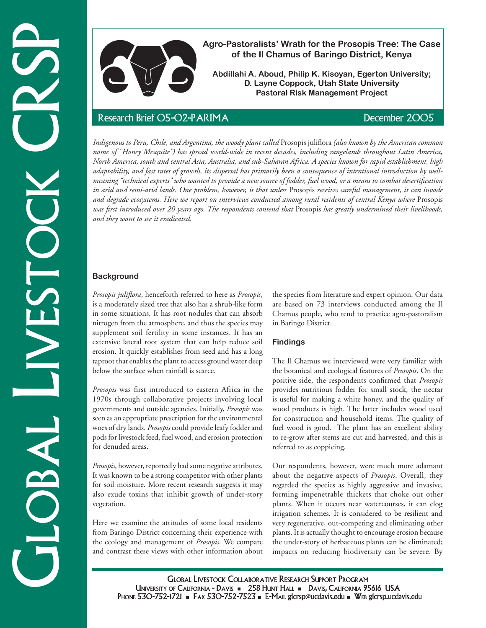

**Agro-Pastoralists' Wrath for the Prosopis Tree: The Case of the Il Chamus of Baringo District, Kenya**

**Abdillahi A. Aboud, Philip K. Kisoyan, Egerton University; D. Layne Coppock, Utah State University Pastoral Risk Management Project**

*Indigenous to Peru, Chile, and Argentina, the woody plant called* Prosopis juliflora *(also known by the American common name of "Honey Mesquite") has spread world-wide in recent decades, including rangelands throughout Latin America, North America, south and central Asia, Australia, and sub-Saharan Africa. A species known for rapid establishment, high adaptability, and fast rates of growth, its dispersal has primarily been a consequence of intentional introduction by wellmeaning "technical experts" who wanted to provide a new source of fodder, fuel wood, or a means to combat desertification in arid and semi-arid lands. One problem, however, is that unless* Prosopis *receives careful management, it can invade and degrade ecosystems. Here we report on interviews conducted among rural residents of central Kenya where* Prosopis *was first introduced over 20 years ago. The respondents contend that* Prosopis *has greatly undermined their livelihoods, and they want to see it eradicated.* 

# **Background**

*Prosopis juliflora*, henceforth referred to here as *Prosopis*, is a moderately sized tree that also has a shrub-like form in some situations. It has root nodules that can absorb nitrogen from the atmosphere, and thus the species may supplement soil fertility in some instances. It has an extensive lateral root system that can help reduce soil erosion. It quickly establishes from seed and has a long taproot that enables the plant to access ground water deep below the surface when rainfall is scarce.

*Prosopis* was first introduced to eastern Africa in the 1970s through collaborative projects involving local governments and outside agencies. Initially, *Prosopis* was seen as an appropriate prescription for the environmental woes of dry lands. *Prosopis* could provide leafy fodder and pods for livestock feed, fuel wood, and erosion protection for denuded areas.

*Prosopis*, however, reportedly had some negative attributes. It was known to be a strong competitor with other plants for soil moisture. More recent research suggests it may also exude toxins that inhibit growth of under-story vegetation.

Here we examine the attitudes of some local residents from Baringo District concerning their experience with the ecology and management of *Prosopis*. We compare and contrast these views with other information about the species from literature and expert opinion. Our data are based on 73 interviews conducted among the Il Chamus people, who tend to practice agro-pastoralism in Baringo District.

## **Findings**

The Il Chamus we interviewed were very familiar with the botanical and ecological features of *Prosopis*. On the positive side, the respondents confirmed that *Prosopis* provides nutritious fodder for small stock, the nectar is useful for making a white honey, and the quality of wood products is high. The latter includes wood used for construction and household items. The quality of fuel wood is good. The plant has an excellent ability to re-grow after stems are cut and harvested, and this is referred to as coppicing.

Our respondents, however, were much more adamant about the negative aspects of *Prosopis*. Overall, they regarded the species as highly aggressive and invasive, forming impenetrable thickets that choke out other plants. When it occurs near watercourses, it can clog irrigation schemes. It is considered to be resilient and very regenerative, out-competing and eliminating other plants. It is actually thought to encourage erosion because the under-story of herbaceous plants can be eliminated; impacts on reducing biodiversity can be severe. By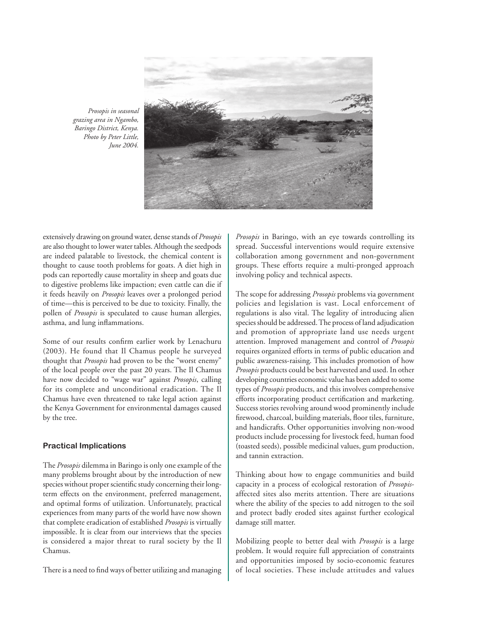

*Prosopis in seasonal grazing area in Ngambo, Baringo District, Kenya. Photo by Peter Little, June 2004.*

extensively drawing on ground water, dense stands of *Prosopis* are also thought to lower water tables. Although the seedpods are indeed palatable to livestock, the chemical content is thought to cause tooth problems for goats. A diet high in pods can reportedly cause mortality in sheep and goats due to digestive problems like impaction; even cattle can die if it feeds heavily on *Prosopis* leaves over a prolonged period of time—this is perceived to be due to toxicity. Finally, the pollen of *Prosopis* is speculated to cause human allergies, asthma, and lung inflammations.

Some of our results confirm earlier work by Lenachuru (2003). He found that Il Chamus people he surveyed thought that *Prosopis* had proven to be the "worst enemy" of the local people over the past 20 years. The Il Chamus have now decided to "wage war" against *Prosopis*, calling for its complete and unconditional eradication. The Il Chamus have even threatened to take legal action against the Kenya Government for environmental damages caused by the tree.

### **Practical Implications**

The *Prosopis* dilemma in Baringo is only one example of the many problems brought about by the introduction of new species without proper scientific study concerning their longterm effects on the environment, preferred management, and optimal forms of utilization. Unfortunately, practical experiences from many parts of the world have now shown that complete eradication of established *Prosopis* is virtually impossible. It is clear from our interviews that the species is considered a major threat to rural society by the Il Chamus.

There is a need to find ways of better utilizing and managing

*Prosopis* in Baringo, with an eye towards controlling its spread. Successful interventions would require extensive collaboration among government and non-government groups. These efforts require a multi-pronged approach involving policy and technical aspects.

The scope for addressing *Prosopis* problems via government policies and legislation is vast. Local enforcement of regulations is also vital. The legality of introducing alien species should be addressed. The process of land adjudication and promotion of appropriate land use needs urgent attention. Improved management and control of *Prosopis* requires organized efforts in terms of public education and public awareness-raising. This includes promotion of how *Prosopis* products could be best harvested and used. In other developing countries economic value has been added to some types of *Prosopis* products, and this involves comprehensive efforts incorporating product certification and marketing. Success stories revolving around wood prominently include firewood, charcoal, building materials, floor tiles, furniture, and handicrafts. Other opportunities involving non-wood products include processing for livestock feed, human food (toasted seeds), possible medicinal values, gum production, and tannin extraction.

Thinking about how to engage communities and build capacity in a process of ecological restoration of *Prosopis*affected sites also merits attention. There are situations where the ability of the species to add nitrogen to the soil and protect badly eroded sites against further ecological damage still matter.

Mobilizing people to better deal with *Prosopis* is a large problem. It would require full appreciation of constraints and opportunities imposed by socio-economic features of local societies. These include attitudes and values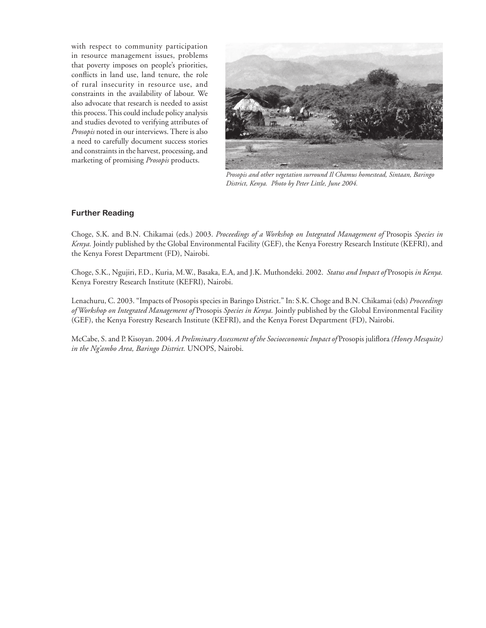with respect to community participation in resource management issues, problems that poverty imposes on people's priorities, conflicts in land use, land tenure, the role of rural insecurity in resource use, and constraints in the availability of labour. We also advocate that research is needed to assist this process. This could include policy analysis and studies devoted to verifying attributes of *Prosopis* noted in our interviews. There is also a need to carefully document success stories and constraints in the harvest, processing, and marketing of promising *Prosopis* products.



*Prosopis and other vegetation surround Il Chamus homestead, Sintaan, Baringo District, Kenya. Photo by Peter Little, June 2004.*

## **Further Reading**

Choge, S.K. and B.N. Chikamai (eds.) 2003. *Proceedings of a Workshop on Integrated Management of* Prosopis *Species in Kenya.* Jointly published by the Global Environmental Facility (GEF), the Kenya Forestry Research Institute (KEFRI), and the Kenya Forest Department (FD), Nairobi.

Choge, S.K., Ngujiri, F.D., Kuria, M.W., Basaka, E.A, and J.K. Muthondeki. 2002. *Status and Impact of* Prosopis *in Kenya.* Kenya Forestry Research Institute (KEFRI), Nairobi.

Lenachuru, C. 2003. "Impacts of Prosopis species in Baringo District." In: S.K. Choge and B.N. Chikamai (eds) *Proceedings of Workshop on Integrated Management of* Prosopis *Species in Kenya.* Jointly published by the Global Environmental Facility (GEF), the Kenya Forestry Research Institute (KEFRI), and the Kenya Forest Department (FD), Nairobi.

McCabe, S. and P. Kisoyan. 2004. *A Preliminary Assessment of the Socioeconomic Impact of* Prosopis juliflora *(Honey Mesquite) in the Ng'ambo Area, Baringo District.* UNOPS, Nairobi.